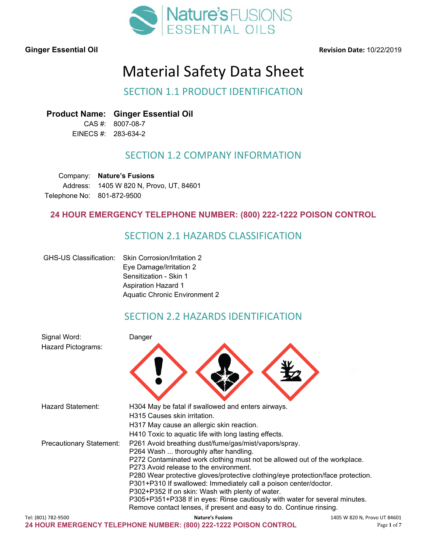

**Ginger Essential Oil Contract Contract Contract Contract Contract Contract Contract Contract Contract Contract Contract Contract Contract Contract Contract Contract Contract Contract Contract Contract Contract Contract** 

# Material Safety Data Sheet

# SECTION 1.1 PRODUCT IDENTIFICATION

**Product Name: Ginger Essential Oil** CAS #: 8007-08-7

EINECS #: 283-634-2

#### SECTION 1.2 COMPANY INFORMATION

Company: **Nature's Fusions** Address: 1405 W 820 N, Provo, UT, 84601 Telephone No: 801-872-9500

#### **24 HOUR EMERGENCY TELEPHONE NUMBER: (800) 222-1222 POISON CONTROL**

#### SECTION 2.1 HAZARDS CLASSIFICATION

| GHS-US Classification: Skin Corrosion/Irritation 2 |
|----------------------------------------------------|
| Eye Damage/Irritation 2                            |
| Sensitization - Skin 1                             |
| Aspiration Hazard 1                                |
| <b>Aquatic Chronic Environment 2</b>               |

### SECTION 2.2 HAZARDS IDENTIFICATION

| Signal Word:<br><b>Hazard Pictograms:</b> | Danger                                                                                                                                                                                                                                                                                                                                                                                                                                                                                                                                                                                 |
|-------------------------------------------|----------------------------------------------------------------------------------------------------------------------------------------------------------------------------------------------------------------------------------------------------------------------------------------------------------------------------------------------------------------------------------------------------------------------------------------------------------------------------------------------------------------------------------------------------------------------------------------|
| Hazard Statement:                         | H304 May be fatal if swallowed and enters airways.<br>H315 Causes skin irritation.<br>H317 May cause an allergic skin reaction.<br>H410 Toxic to aquatic life with long lasting effects.                                                                                                                                                                                                                                                                                                                                                                                               |
| <b>Precautionary Statement:</b>           | P261 Avoid breathing dust/fume/gas/mist/vapors/spray.<br>P264 Wash  thoroughly after handling.<br>P272 Contaminated work clothing must not be allowed out of the workplace.<br>P273 Avoid release to the environment.<br>P280 Wear protective gloves/protective clothing/eye protection/face protection.<br>P301+P310 If swallowed: Immediately call a poison center/doctor.<br>P302+P352 If on skin: Wash with plenty of water.<br>P305+P351+P338 If in eyes: Rinse cautiously with water for several minutes.<br>Remove contact lenses, if present and easy to do. Continue rinsing. |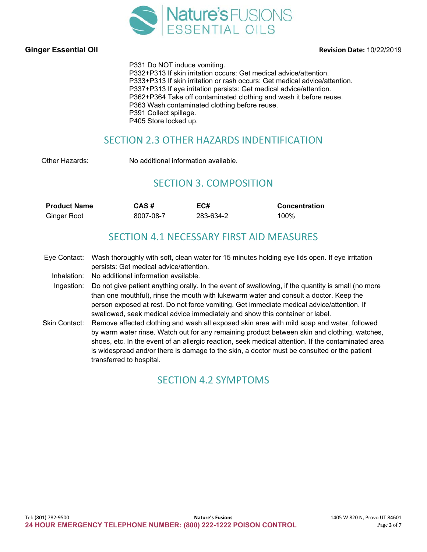

#### **Ginger Essential Oil Revision Date:** 10/22/2019

P331 Do NOT induce vomiting. P332+P313 If skin irritation occurs: Get medical advice/attention. P333+P313 If skin irritation or rash occurs: Get medical advice/attention. P337+P313 If eye irritation persists: Get medical advice/attention. P362+P364 Take off contaminated clothing and wash it before reuse. P363 Wash contaminated clothing before reuse. P391 Collect spillage. P405 Store locked up.

#### SECTION 2.3 OTHER HAZARDS INDENTIFICATION

Other Hazards: No additional information available.

### SECTION 3. COMPOSITION

| <b>Product Name</b> | CAS#      | EC#       | <b>Concentration</b> |
|---------------------|-----------|-----------|----------------------|
| <b>Ginger Root</b>  | 8007-08-7 | 283-634-2 | 100%                 |

### SECTION 4.1 NECESSARY FIRST AID MEASURES

- Eye Contact: Wash thoroughly with soft, clean water for 15 minutes holding eye lids open. If eye irritation persists: Get medical advice/attention.
- Inhalation: No additional information available.
- Ingestion: Do not give patient anything orally. In the event of swallowing, if the quantity is small (no more than one mouthful), rinse the mouth with lukewarm water and consult a doctor. Keep the person exposed at rest. Do not force vomiting. Get immediate medical advice/attention. If swallowed, seek medical advice immediately and show this container or label.
- Skin Contact: Remove affected clothing and wash all exposed skin area with mild soap and water, followed by warm water rinse. Watch out for any remaining product between skin and clothing, watches, shoes, etc. In the event of an allergic reaction, seek medical attention. If the contaminated area is widespread and/or there is damage to the skin, a doctor must be consulted or the patient transferred to hospital.

# SECTION 4.2 SYMPTOMS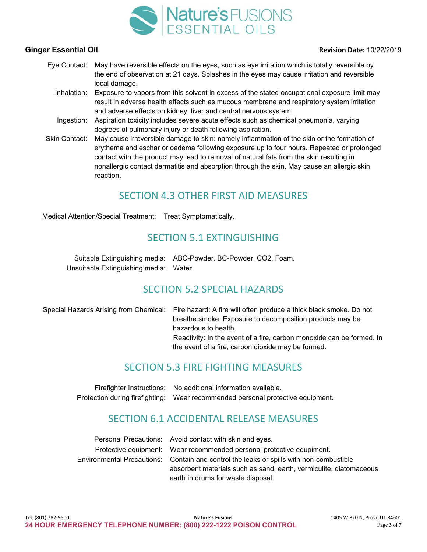

#### **Ginger Essential Oil Revision Date:** 10/22/2019

- Eye Contact: May have reversible effects on the eyes, such as eye irritation which is totally reversible by the end of observation at 21 days. Splashes in the eyes may cause irritation and reversible local damage.
	- Inhalation: Exposure to vapors from this solvent in excess of the stated occupational exposure limit may result in adverse health effects such as mucous membrane and respiratory system irritation and adverse effects on kidney, liver and central nervous system.
	- Ingestion: Aspiration toxicity includes severe acute effects such as chemical pneumonia, varying degrees of pulmonary injury or death following aspiration.
- Skin Contact: May cause irreversible damage to skin: namely inflammation of the skin or the formation of erythema and eschar or oedema following exposure up to four hours. Repeated or prolonged contact with the product may lead to removal of natural fats from the skin resulting in nonallergic contact dermatitis and absorption through the skin. May cause an allergic skin reaction.

### SECTION 4.3 OTHER FIRST AID MEASURES

Medical Attention/Special Treatment: Treat Symptomatically.

#### SECTION 5.1 EXTINGUISHING

Suitable Extinguishing media: ABC-Powder. BC-Powder. CO2. Foam. Unsuitable Extinguishing media: Water.

#### SECTION 5.2 SPECIAL HAZARDS

Special Hazards Arising from Chemical: Fire hazard: A fire will often produce a thick black smoke. Do not breathe smoke. Exposure to decomposition products may be hazardous to health. Reactivity: In the event of a fire, carbon monoxide can be formed. In the event of a fire, carbon dioxide may be formed.

#### SECTION 5.3 FIRE FIGHTING MEASURES

Firefighter Instructions: No additional information available. Protection during firefighting: Wear recommended personal protective equipment.

# SECTION 6.1 ACCIDENTAL RELEASE MEASURES

| Personal Precautions: Avoid contact with skin and eyes.                                 |
|-----------------------------------------------------------------------------------------|
| Protective equipment: Wear recommended personal protective equpiment.                   |
| Environmental Precautions: Contain and control the leaks or spills with non-combustible |
| absorbent materials such as sand, earth, vermiculite, diatomaceous                      |
| earth in drums for waste disposal.                                                      |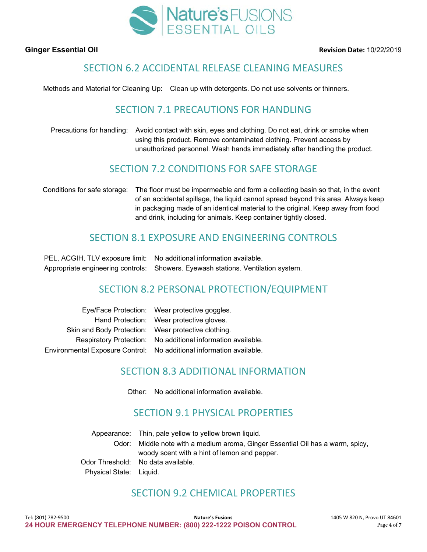

### SECTION 6.2 ACCIDENTAL RELEASE CLEANING MEASURES

Methods and Material for Cleaning Up: Clean up with detergents. Do not use solvents or thinners.

### SECTION 7.1 PRECAUTIONS FOR HANDLING

Precautions for handling: Avoid contact with skin, eyes and clothing. Do not eat, drink or smoke when using this product. Remove contaminated clothing. Prevent access by unauthorized personnel. Wash hands immediately after handling the product.

#### SECTION 7.2 CONDITIONS FOR SAFE STORAGE

Conditions for safe storage: The floor must be impermeable and form a collecting basin so that, in the event of an accidental spillage, the liquid cannot spread beyond this area. Always keep in packaging made of an identical material to the original. Keep away from food and drink, including for animals. Keep container tightly closed.

#### SECTION 8.1 EXPOSURE AND ENGINEERING CONTROLS

| PEL, ACGIH, TLV exposure limit: No additional information available.             |
|----------------------------------------------------------------------------------|
| Appropriate engineering controls: Showers. Eyewash stations. Ventilation system. |

#### SECTION 8.2 PERSONAL PROTECTION/EQUIPMENT

|                                                     | Eye/Face Protection: Wear protective goggles.                        |
|-----------------------------------------------------|----------------------------------------------------------------------|
|                                                     | Hand Protection: Wear protective gloves.                             |
| Skin and Body Protection: Wear protective clothing. |                                                                      |
|                                                     | Respiratory Protection: No additional information available.         |
|                                                     | Environmental Exposure Control: No additional information available. |

#### SECTION 8.3 ADDITIONAL INFORMATION

Other: No additional information available.

#### SECTION 9.1 PHYSICAL PROPERTIES

Appearance: Thin, pale yellow to yellow brown liquid. Odor: Middle note with a medium aroma, Ginger Essential Oil has a warm, spicy, woody scent with a hint of lemon and pepper. Odor Threshold: No data available. Physical State: Liquid.

#### SECTION 9.2 CHEMICAL PROPERTIES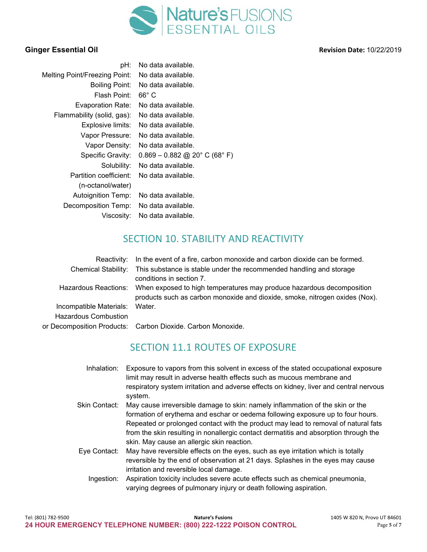

| pH:                                  | No data available.              |
|--------------------------------------|---------------------------------|
| <b>Melting Point/Freezing Point:</b> | No data available.              |
| <b>Boiling Point:</b>                | No data available.              |
| Flash Point:                         | $66^{\circ}$ C                  |
| <b>Evaporation Rate:</b>             | No data available.              |
| Flammability (solid, gas):           | No data available.              |
| Explosive limits:                    | No data available.              |
| Vapor Pressure:                      | No data available.              |
| Vapor Density:                       | No data available.              |
| Specific Gravity:                    | $0.869 - 0.882$ @ 20° C (68° F) |
| Solubility:                          | No data available.              |
| Partition coefficient:               | No data available.              |
| (n-octanol/water)                    |                                 |
| <b>Autoignition Temp:</b>            | No data available.              |
| Decomposition Temp:                  | No data available.              |
| Viscosity:                           | No data available.              |

### SECTION 10. STABILITY AND REACTIVITY

| Reactivity:                    | In the event of a fire, carbon monoxide and carbon dioxide can be formed.                                                                            |
|--------------------------------|------------------------------------------------------------------------------------------------------------------------------------------------------|
| <b>Chemical Stability:</b>     | This substance is stable under the recommended handling and storage<br>conditions in section 7.                                                      |
| Hazardous Reactions:           | When exposed to high temperatures may produce hazardous decomposition<br>products such as carbon monoxide and dioxide, smoke, nitrogen oxides (Nox). |
| Incompatible Materials: Water. |                                                                                                                                                      |
| Hazardous Combustion           |                                                                                                                                                      |
|                                | or Decomposition Products: Carbon Dioxide. Carbon Monoxide.                                                                                          |
|                                |                                                                                                                                                      |

# SECTION 11.1 ROUTES OF EXPOSURE

| Inhalation:   | Exposure to vapors from this solvent in excess of the stated occupational exposure<br>limit may result in adverse health effects such as mucous membrane and |
|---------------|--------------------------------------------------------------------------------------------------------------------------------------------------------------|
|               | respiratory system irritation and adverse effects on kidney, liver and central nervous<br>system.                                                            |
| Skin Contact: | May cause irreversible damage to skin: namely inflammation of the skin or the                                                                                |
|               | formation of erythema and eschar or oedema following exposure up to four hours.                                                                              |
|               | Repeated or prolonged contact with the product may lead to removal of natural fats                                                                           |
|               | from the skin resulting in nonallergic contact dermatitis and absorption through the                                                                         |
|               | skin. May cause an allergic skin reaction.                                                                                                                   |
| Eye Contact:  | May have reversible effects on the eyes, such as eye irritation which is totally                                                                             |
|               | reversible by the end of observation at 21 days. Splashes in the eyes may cause                                                                              |
|               | irritation and reversible local damage.                                                                                                                      |
| Ingestion:    | Aspiration toxicity includes severe acute effects such as chemical pneumonia,                                                                                |
|               | varying degrees of pulmonary injury or death following aspiration.                                                                                           |

**Ginger Essential Oil Ginger Essential Oil Account 2012 12:33 Account 2012 12:43 Account 2012 12:43 Account 2012 12:43 Account 20:43 Account 20:43 Account 20:43 Account 20:43 Account 20:43 Account 20:43 Account 20:43**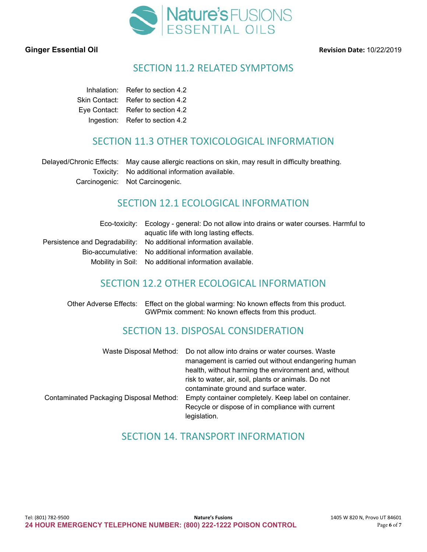

#### **Ginger Essential Oil Contract Contract Contract Contract Contract Contract Contract Contract Contract Contract Contract Contract Contract Contract Contract Contract Contract Contract Contract Contract Contract Contract**

#### SECTION 11.2 RELATED SYMPTOMS

Inhalation: Refer to section 4.2 Skin Contact: Refer to section 4.2 Eye Contact: Refer to section 4.2 Ingestion: Refer to section 4.2

#### SECTION 11.3 OTHER TOXICOLOGICAL INFORMATION

Delayed/Chronic Effects: May cause allergic reactions on skin, may result in difficulty breathing. Toxicity: No additional information available. Carcinogenic: Not Carcinogenic.

#### SECTION 12.1 ECOLOGICAL INFORMATION

| Eco-toxicity: Ecology - general: Do not allow into drains or water courses. Harmful to |
|----------------------------------------------------------------------------------------|
| aquatic life with long lasting effects.                                                |
| Persistence and Degradability: No additional information available.                    |
| Bio-accumulative: No additional information available.                                 |
| Mobility in Soil: No additional information available.                                 |
|                                                                                        |

#### SECTION 12.2 OTHER ECOLOGICAL INFORMATION

| Other Adverse Effects: Effect on the global warming: No known effects from this product. |
|------------------------------------------------------------------------------------------|
| GWPmix comment: No known effects from this product.                                      |

#### SECTION 13. DISPOSAL CONSIDERATION

|                                         | Waste Disposal Method:  Do not allow into drains or water courses. Waste                                    |
|-----------------------------------------|-------------------------------------------------------------------------------------------------------------|
|                                         | management is carried out without endangering human<br>health, without harming the environment and, without |
|                                         | risk to water, air, soil, plants or animals. Do not                                                         |
|                                         | contaminate ground and surface water.                                                                       |
| Contaminated Packaging Disposal Method: | Empty container completely. Keep label on container.                                                        |
|                                         | Recycle or dispose of in compliance with current                                                            |
|                                         | legislation.                                                                                                |

#### SECTION 14. TRANSPORT INFORMATION